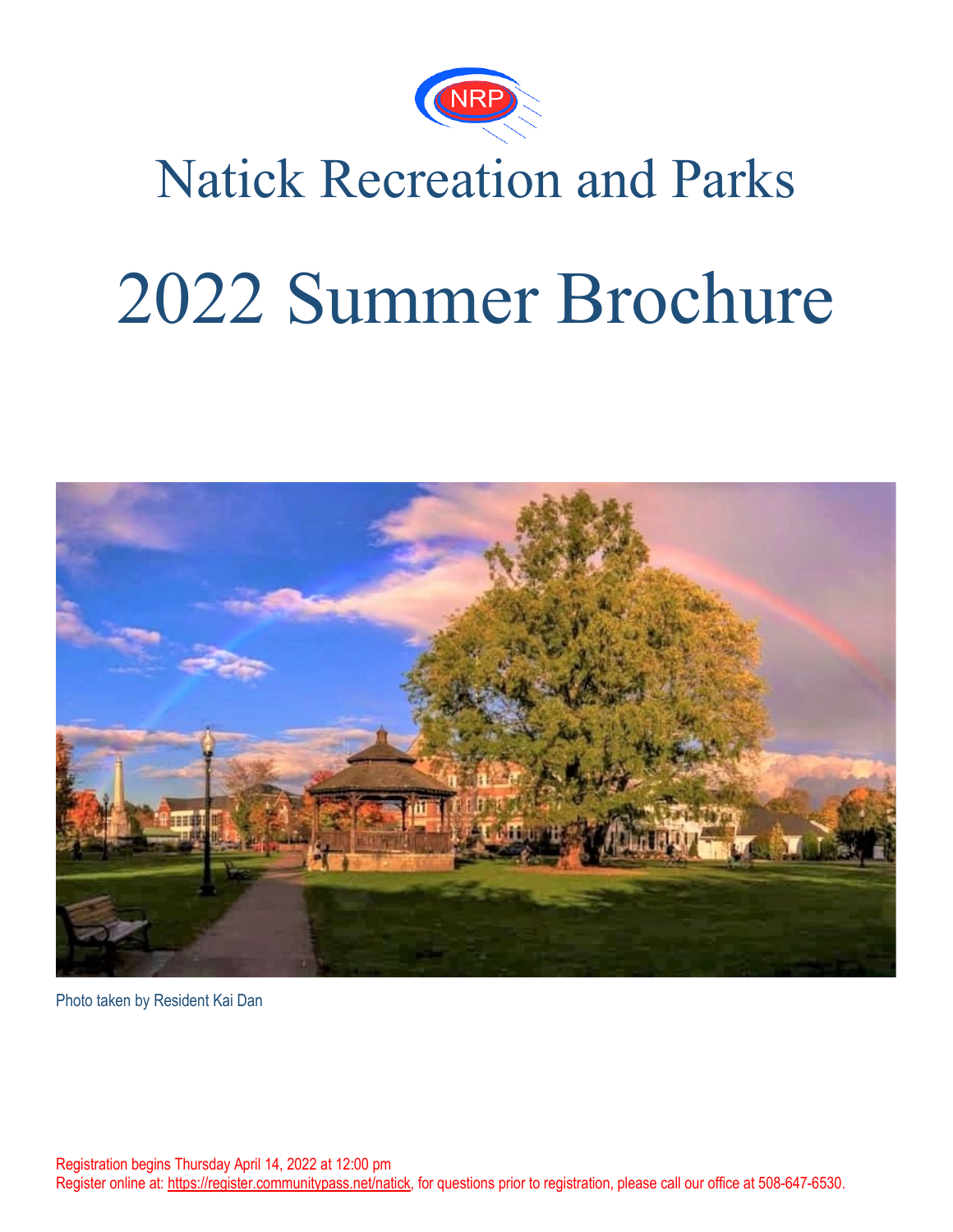

# Natick Recreation and Parks

# 2022 Summer Brochure



Photo taken by Resident Kai Dan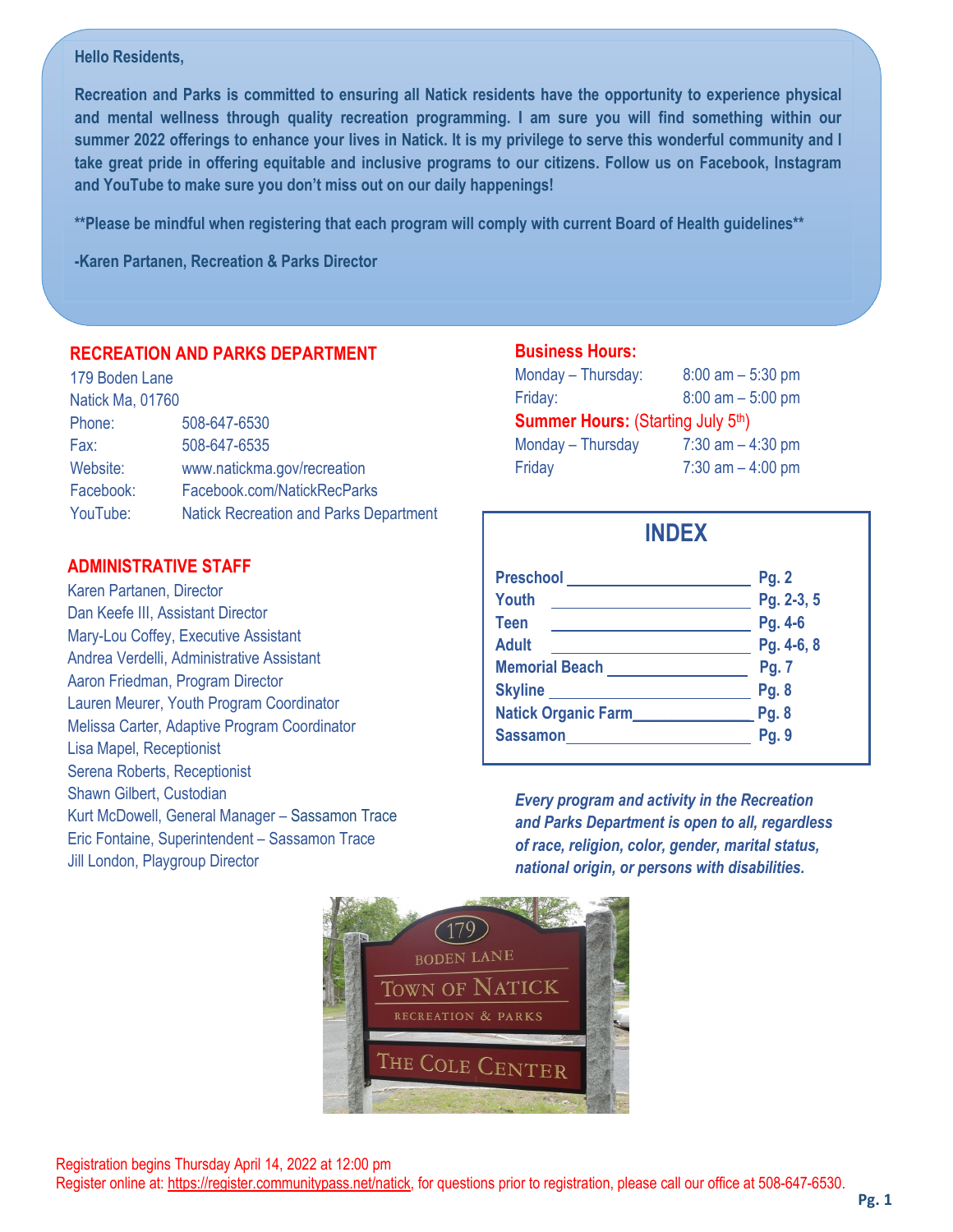#### **Hello Residents,**

l,

Lisa Mapel, Receptionist Serena Roberts, Receptionist Shawn Gilbert, Custodian

Jill London, Playgroup Director

**ADMINISTRATIVE STAFF** Karen Partanen, Director Dan Keefe III, Assistant Director Mary-Lou Coffey, Executive Assistant Andrea Verdelli, Administrative Assistant Aaron Friedman, Program Director

Lauren Meurer, Youth Program Coordinator Melissa Carter, Adaptive Program Coordinator

Kurt McDowell, General Manager – Sassamon Trace Eric Fontaine, Superintendent – Sassamon Trace

**Recreation and Parks is committed to ensuring all Natick residents have the opportunity to experience physical and mental wellness through quality recreation programming. I am sure you will find something within our summer 2022 offerings to enhance your lives in Natick. It is my privilege to serve this wonderful community and I take great pride in offering equitable and inclusive programs to our citizens. Follow us on Facebook, Instagram and YouTube to make sure you don't miss out on our daily happenings!**

**\*\*Please be mindful when registering that each program will comply with current Board of Health guidelines\*\***

**-Karen Partanen, Recreation & Parks Director**

#### **RECREATION AND PARKS DEPARTMENT**

| Natick Ma, 01760                              |
|-----------------------------------------------|
| 508-647-6530                                  |
| 508-647-6535                                  |
| www.natickma.gov/recreation                   |
| Facebook.com/NatickRecParks                   |
| <b>Natick Recreation and Parks Department</b> |
|                                               |

#### **Business Hours:** Monday – Thursday: 8:00 am – 5:30 pm

| $iviviiway = iiiiiijiiii.$               | $0.00$ and $-0.00$ pm |
|------------------------------------------|-----------------------|
| Friday:                                  | $8:00$ am $-5:00$ pm  |
| <b>Summer Hours: (Starting July 5th)</b> |                       |
| Monday - Thursday                        | $7:30$ am $-4:30$ pm  |
| Friday                                   | $7:30$ am $-4:00$ pm  |

## **INDEX**

| <b>Preschool</b>           | Pg. 2        |
|----------------------------|--------------|
| Youth                      | Pg. 2-3, 5   |
| <b>Teen</b>                | Pg. 4-6      |
| <b>Adult</b>               | Pg. 4-6, 8   |
| <b>Memorial Beach</b>      | Pg. 7        |
| <b>Skyline</b>             | Pg. 8        |
| <b>Natick Organic Farm</b> | <b>Pg. 8</b> |
| <b>Sassamon</b>            | Pg. 9        |
|                            |              |

*Every program and activity in the Recreation and Parks Department is open to all, regardless of race, religion, color, gender, marital status, national origin, or persons with disabilities.*

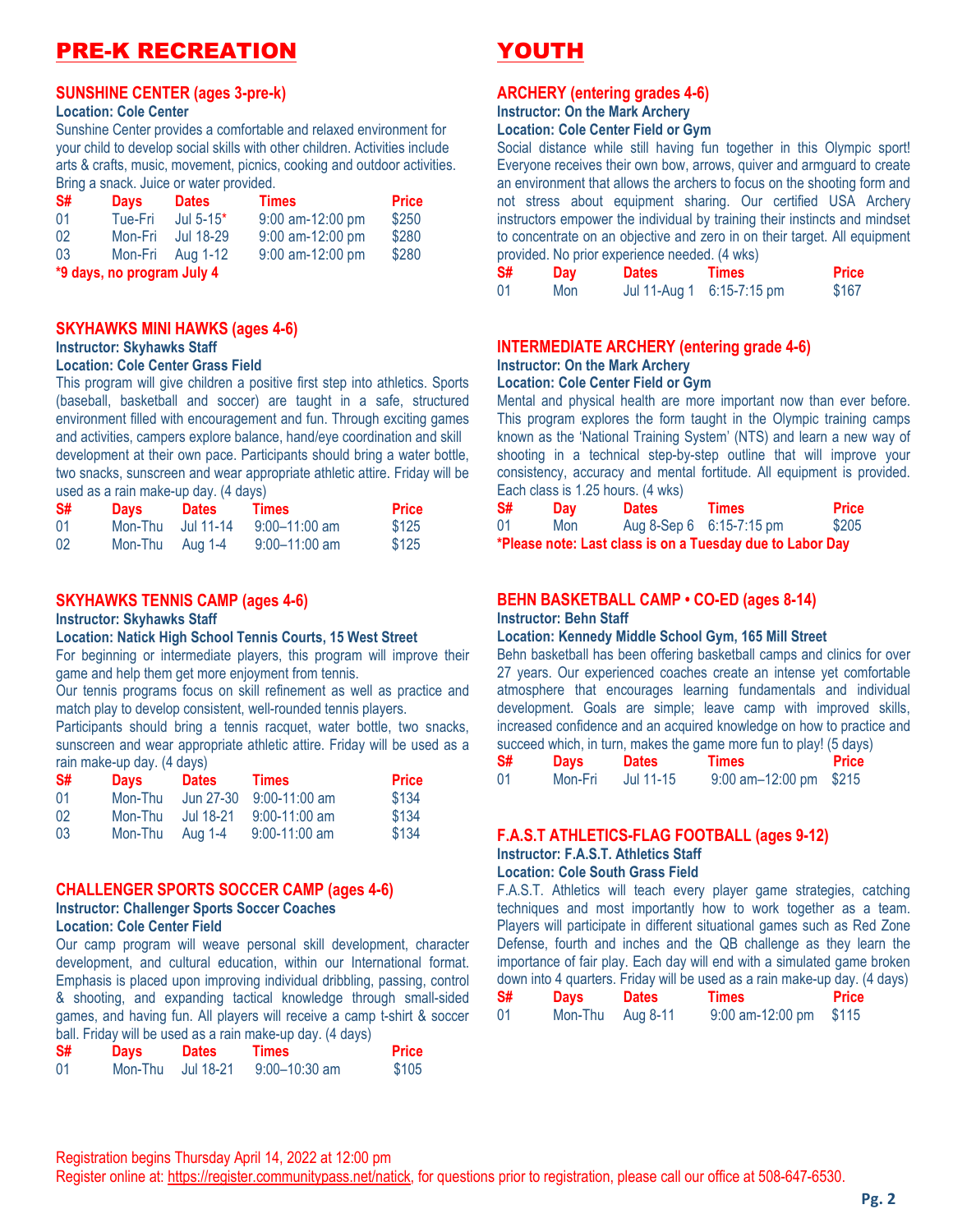## PRE-K RECREATION

#### **SUNSHINE CENTER (ages 3-pre-k)**

#### **Location: Cole Center**

Sunshine Center provides a comfortable and relaxed environment for your child to develop social skills with other children. Activities include arts & crafts, music, movement, picnics, cooking and outdoor activities. Bring a snack. Juice or water provided.

| S# | <b>Days</b>                | <b>Dates</b>     | <b>Times</b>     | <b>Price</b> |  |  |
|----|----------------------------|------------------|------------------|--------------|--|--|
| 01 | Tue-Fri                    | Jul $5-15*$      | 9:00 am-12:00 pm | \$250        |  |  |
| 02 | Mon-Fri                    | Jul 18-29        | 9:00 am-12:00 pm | \$280        |  |  |
| 03 |                            | Mon-Fri Aug 1-12 | 9:00 am-12:00 pm | \$280        |  |  |
|    | *9 days, no program July 4 |                  |                  |              |  |  |

#### **SKYHAWKS MINI HAWKS (ages 4-6)**

#### **Instructor: Skyhawks Staff**

#### **Location: Cole Center Grass Field**

This program will give children a positive first step into athletics. Sports (baseball, basketball and soccer) are taught in a safe, structured environment filled with encouragement and fun. Through exciting games and activities, campers explore balance, hand/eye coordination and skill development at their own pace. Participants should bring a water bottle, two snacks, sunscreen and wear appropriate athletic attire. Friday will be used as a rain make-up day. (4 days)

| S# | <b>Days</b> | <b>Dates</b> | Times             | <b>Price</b> |
|----|-------------|--------------|-------------------|--------------|
| 01 | Mon-Thu     | Jul 11-14    | $9:00 - 11:00$ am | \$125        |
| 02 | Mon-Thu     | Aug 1-4      | $9:00 - 11:00$ am | \$125        |

#### **SKYHAWKS TENNIS CAMP (ages 4-6)**

#### **Instructor: Skyhawks Staff**

#### **Location: Natick High School Tennis Courts, 15 West Street**

For beginning or intermediate players, this program will improve their game and help them get more enjoyment from tennis.

Our tennis programs focus on skill refinement as well as practice and match play to develop consistent, well-rounded tennis players.

Participants should bring a tennis racquet, water bottle, two snacks, sunscreen and wear appropriate athletic attire. Friday will be used as a rain make-up day. (4 days)

| S# | <b>Days</b> | <b>Dates</b> | <b>Times</b>    | <b>Price</b> |
|----|-------------|--------------|-----------------|--------------|
| 01 | Mon-Thu     | Jun 27-30    | $9:00-11:00$ am | \$134        |
| 02 | Mon-Thu     | Jul 18-21    | $9:00-11:00$ am | \$134        |
| 03 | Mon-Thu     | Aug 1-4      | $9:00-11:00$ am | \$134        |

#### **CHALLENGER SPORTS SOCCER CAMP (ages 4-6)**

#### **Instructor: Challenger Sports Soccer Coaches Location: Cole Center Field**

Our camp program will weave personal skill development, character development, and cultural education, within our International format. Emphasis is placed upon improving individual dribbling, passing, control & shooting, and expanding tactical knowledge through small-sided games, and having fun. All players will receive a camp t-shirt & soccer ball. Friday will be used as a rain make-up day. (4 days)

| S# | <b>Days</b> | <b>Dates</b>      | Times         | <b>Price</b> |
|----|-------------|-------------------|---------------|--------------|
| 01 |             | Mon-Thu Jul 18-21 | 9:00–10:30 am | \$105        |

## YOUTH

#### **ARCHERY (entering grades 4-6)**

## **Instructor: On the Mark Archery**

#### **Location: Cole Center Field or Gym**

Social distance while still having fun together in this Olympic sport! Everyone receives their own bow, arrows, quiver and armguard to create an environment that allows the archers to focus on the shooting form and not stress about equipment sharing. Our certified USA Archery instructors empower the individual by training their instincts and mindset to concentrate on an objective and zero in on their target. All equipment provided. No prior experience needed. (4 wks)

| S# | Day | <b>Dates</b> | Times                     | <b>Price</b> |
|----|-----|--------------|---------------------------|--------------|
| 01 | Mon |              | Jul 11-Aug 1 6:15-7:15 pm | \$167        |

#### **INTERMEDIATE ARCHERY (entering grade 4-6)**

### **Instructor: On the Mark Archery**

#### **Location: Cole Center Field or Gym**

Mental and physical health are more important now than ever before. This program explores the form taught in the Olympic training camps known as the 'National Training System' (NTS) and learn a new way of shooting in a technical step-by-step outline that will improve your consistency, accuracy and mental fortitude. All equipment is provided. Each class is 1.25 hours. (4 wks)

| S# | <b>Day</b> | <b>Dates</b>                             | <b>Times</b>                                              | <b>Price</b> |
|----|------------|------------------------------------------|-----------------------------------------------------------|--------------|
| 01 | Mon        | Aug 8-Sep $6 \cdot 6:15-7:15 \text{ pm}$ |                                                           | \$205        |
|    |            |                                          | *Please note: Last class is on a Tuesday due to Labor Day |              |

#### **BEHN BASKETBALL CAMP • CO-ED (ages 8-14) Instructor: Behn Staff**

#### **Location: Kennedy Middle School Gym, 165 Mill Street**

Behn basketball has been offering basketball camps and clinics for over 27 years. Our experienced coaches create an intense yet comfortable atmosphere that encourages learning fundamentals and individual development. Goals are simple; leave camp with improved skills, increased confidence and an acquired knowledge on how to practice and succeed which, in turn, makes the game more fun to play! (5 days)

| S# | <b>Days</b> | <b>Dates</b> | Times                    | <b>Price</b> |
|----|-------------|--------------|--------------------------|--------------|
| 01 | Mon-Fri     | Jul 11-15    | $9:00$ am-12:00 pm \$215 |              |

#### **F.A.S.T ATHLETICS-FLAG FOOTBALL (ages 9-12)**

#### **Instructor: F.A.S.T. Athletics Staff Location: Cole South Grass Field**

F.A.S.T. Athletics will teach every player game strategies, catching techniques and most importantly how to work together as a team. Players will participate in different situational games such as Red Zone Defense, fourth and inches and the QB challenge as they learn the importance of fair play. Each day will end with a simulated game broken down into 4 quarters. Friday will be used as a rain make-up day. (4 days)

| S# | <b>Days</b> | <b>Dates</b> | Times              | $\mathbf{1}$ $\mathbf{1}$<br><b>Price</b> |
|----|-------------|--------------|--------------------|-------------------------------------------|
| 01 | Mon-Thu     | Aug 8-11     | $9:00$ am-12:00 pm | \$115                                     |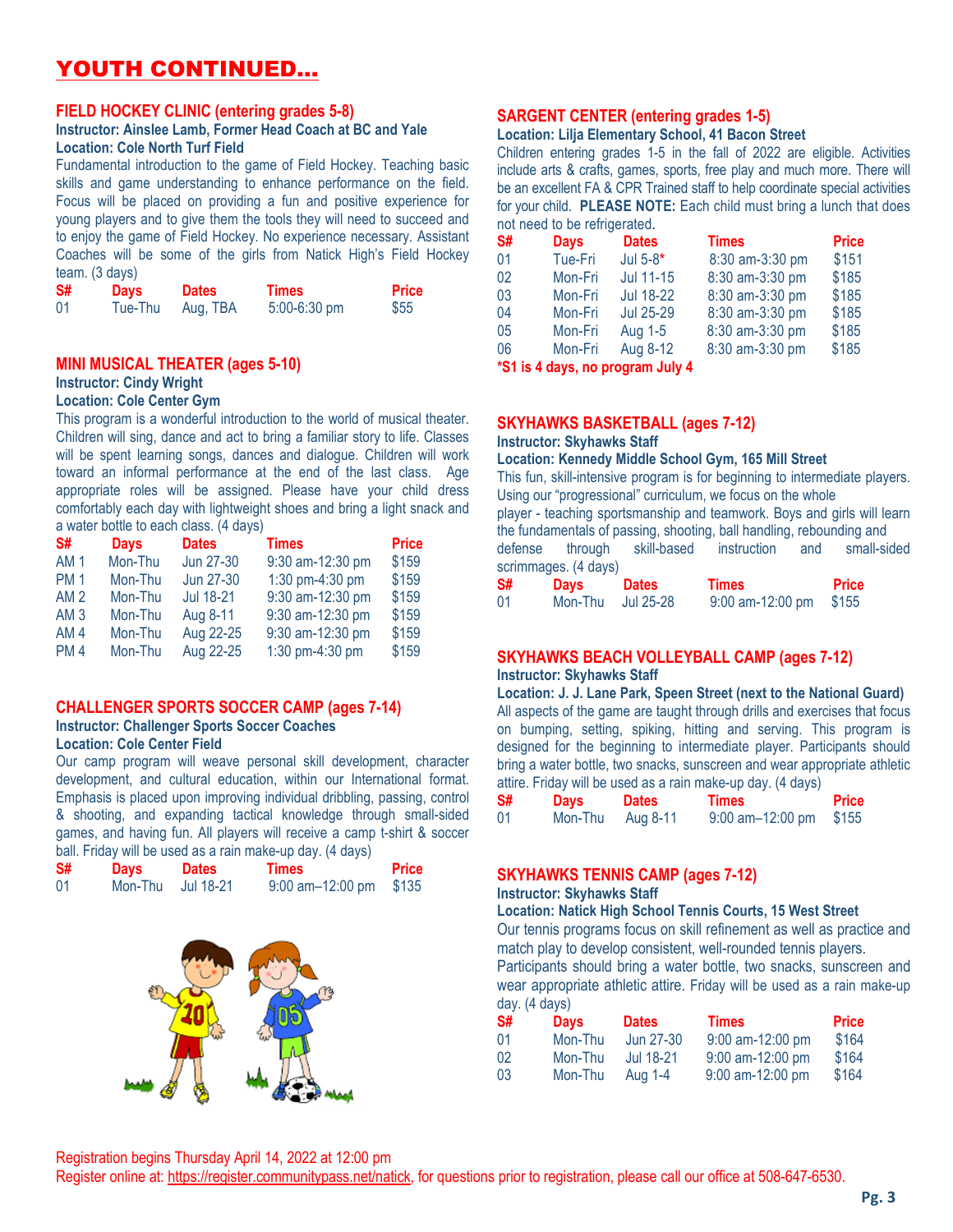## YOUTH CONTINUED…

#### **FIELD HOCKEY CLINIC (entering grades 5-8)**

#### **Instructor: Ainslee Lamb, Former Head Coach at BC and Yale Location: Cole North Turf Field**

Fundamental introduction to the game of Field Hockey. Teaching basic skills and game understanding to enhance performance on the field. Focus will be placed on providing a fun and positive experience for young players and to give them the tools they will need to succeed and to enjoy the game of Field Hockey. No experience necessary. Assistant Coaches will be some of the girls from Natick High's Field Hockey team. (3 days)

| S# | <b>Days</b> | <b>Dates</b> | <b>Times</b> | Price |
|----|-------------|--------------|--------------|-------|
| 01 | Tue-Thu     | Aug, TBA     | 5:00-6:30 pm | \$55  |

#### **MINI MUSICAL THEATER (ages 5-10)**

#### **Instructor: Cindy Wright**

#### **Location: Cole Center Gym**

This program is a wonderful introduction to the world of musical theater. Children will sing, dance and act to bring a familiar story to life. Classes will be spent learning songs, dances and dialogue. Children will work toward an informal performance at the end of the last class. Age appropriate roles will be assigned. Please have your child dress comfortably each day with lightweight shoes and bring a light snack and a water bottle to each class. (4 days)

| S#              | <b>Days</b> | <b>Dates</b> | <b>Times</b>     | <b>Price</b> |
|-----------------|-------------|--------------|------------------|--------------|
| AM <sub>1</sub> | Mon-Thu     | Jun 27-30    | 9:30 am-12:30 pm | \$159        |
| <b>PM1</b>      | Mon-Thu     | Jun 27-30    | 1:30 pm-4:30 pm  | \$159        |
| AM <sub>2</sub> | Mon-Thu     | Jul 18-21    | 9:30 am-12:30 pm | \$159        |
| AM <sub>3</sub> | Mon-Thu     | Aug 8-11     | 9:30 am-12:30 pm | \$159        |
| AM <sub>4</sub> | Mon-Thu     | Aug 22-25    | 9:30 am-12:30 pm | \$159        |
| <b>PM4</b>      | Mon-Thu     | Aug 22-25    | 1:30 pm-4:30 pm  | \$159        |

#### **CHALLENGER SPORTS SOCCER CAMP (ages 7-14) Instructor: Challenger Sports Soccer Coaches**

#### **Location: Cole Center Field**

Our camp program will weave personal skill development, character development, and cultural education, within our International format. Emphasis is placed upon improving individual dribbling, passing, control & shooting, and expanding tactical knowledge through small-sided games, and having fun. All players will receive a camp t-shirt & soccer ball. Friday will be used as a rain make-up day. (4 days)

| S# | <b>Days</b> | <b>Dates</b> | Times                 | <b>Price</b> |
|----|-------------|--------------|-----------------------|--------------|
| 01 | Mon-Thu     | Jul 18-21    | $9:00$ am $-12:00$ pm | \$135        |



#### **SARGENT CENTER (entering grades 1-5)**

#### **Location: Lilja Elementary School, 41 Bacon Street**

Children entering grades 1-5 in the fall of 2022 are eligible. Activities include arts & crafts, games, sports, free play and much more. There will be an excellent FA & CPR Trained staff to help coordinate special activities for your child. **PLEASE NOTE:** Each child must bring a lunch that does not need to be refrigerated.

| S# | <b>Days</b> | <b>Dates</b>                         | <b>Times</b>    | <b>Price</b> |
|----|-------------|--------------------------------------|-----------------|--------------|
| 01 | Tue-Fri     | Jul $5-8*$                           | 8:30 am-3:30 pm | \$151        |
| 02 | Mon-Fri     | Jul 11-15                            | 8:30 am-3:30 pm | \$185        |
| 03 | Mon-Fri     | Jul 18-22                            | 8:30 am-3:30 pm | \$185        |
| 04 | Mon-Fri     | <b>Jul 25-29</b>                     | 8:30 am-3:30 pm | \$185        |
| 05 | Mon-Fri     | Aug 1-5                              | 8:30 am-3:30 pm | \$185        |
| 06 | Mon-Fri     | Aug 8-12                             | 8:30 am-3:30 pm | \$185        |
|    |             | to a to a short the more more than 1 |                 |              |

**\*S1 is 4 days, no program July 4**

#### **SKYHAWKS BASKETBALL (ages 7-12)**

#### **Instructor: Skyhawks Staff**

#### **Location: Kennedy Middle School Gym, 165 Mill Street**

This fun, skill-intensive program is for beginning to intermediate players. Using our "progressional" curriculum, we focus on the whole player - teaching sportsmanship and teamwork. Boys and girls will learn the fundamentals of passing, shooting, ball handling, rebounding and

defense through skill-based instruction and small-sided scrimmages. (4 days)

| S# | <b>Days</b> | <b>Dates</b> | <b>Times</b>       | <b>Price</b> |
|----|-------------|--------------|--------------------|--------------|
| 01 | Mon-Thu     | Jul 25-28    | $9:00$ am-12:00 pm | \$155        |

#### **SKYHAWKS BEACH VOLLEYBALL CAMP (ages 7-12) Instructor: Skyhawks Staff**

**Location: J. J. Lane Park, Speen Street (next to the National Guard)** All aspects of the game are taught through drills and exercises that focus on bumping, setting, spiking, hitting and serving. This program is designed for the beginning to intermediate player. Participants should bring a water bottle, two snacks, sunscreen and wear appropriate athletic attire. Friday will be used as a rain make-up day. (4 days)

| S# | <b>Days</b> | <b>Dates</b> | <b>Times</b>             | <b>Price</b> |
|----|-------------|--------------|--------------------------|--------------|
| 01 | Mon-Thu     | Aug 8-11     | $9:00$ am-12:00 pm \$155 |              |

#### **SKYHAWKS TENNIS CAMP (ages 7-12)**

#### **Instructor: Skyhawks Staff**

**Location: Natick High School Tennis Courts, 15 West Street** Our tennis programs focus on skill refinement as well as practice and match play to develop consistent, well-rounded tennis players. Participants should bring a water bottle, two snacks, sunscreen and wear appropriate athletic attire. Friday will be used as a rain make-up day. (4 days)

| .<br><b>S#</b> | .<br><b>Days</b> | <b>Dates</b> | <b>Times</b>       | <b>Price</b> |
|----------------|------------------|--------------|--------------------|--------------|
| -01            | Mon-Thu          | Jun 27-30    | $9:00$ am-12:00 pm | \$164        |
| -02            | Mon-Thu          | Jul 18-21    | $9:00$ am-12:00 pm | \$164        |
| 03             | Mon-Thu          | Aug 1-4      | 9:00 am-12:00 pm   | \$164        |

Register online at: [https://register.communitypass.net/natick,](https://register.communitypass.net/natick) for questions prior to registration, please call our office at 508-647-6530.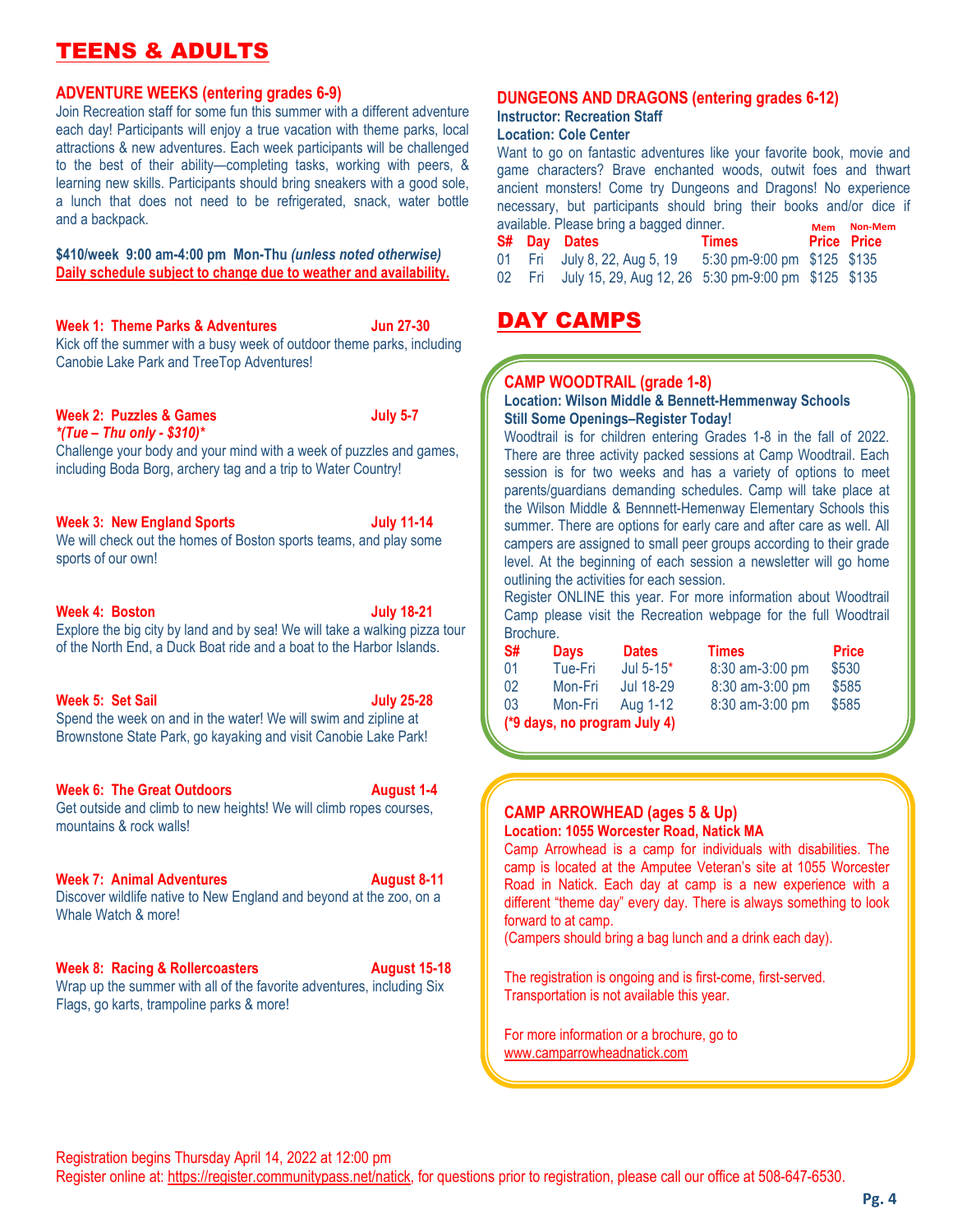## TEENS & ADULT!

#### **ADVENTURE WEEKS (entering grades 6-9)**

Join Recreation staff for some fun this summer with a different adventure each day! Participants will enjoy a true vacation with theme parks, local attractions & new adventures. Each week participants will be challenged to the best of their ability—completing tasks, working with peers, & learning new skills. Participants should bring sneakers with a good sole, a lunch that does not need to be refrigerated, snack, water bottle and a backpack.

**\$410/week 9:00 am-4:00 pm Mon-Thu** *(unless noted otherwise)* **Daily schedule subject to change due to weather and availability.**

**Week 1: Theme Parks & Adventures Jun 27-30** Kick off the summer with a busy week of outdoor theme parks, including Canobie Lake Park and TreeTop Adventures!

#### **Week 2: Puzzles & Games July 5-7** *\*(Tue – Thu only - \$310)\**

Challenge your body and your mind with a week of puzzles and games, including Boda Borg, archery tag and a trip to Water Country!

#### **Week 3: New England Sports July 11-14**

We will check out the homes of Boston sports teams, and play some sports of our own!

#### **Week 4: Boston July 18-21**

Explore the big city by land and by sea! We will take a walking pizza tour of the North End, a Duck Boat ride and a boat to the Harbor Islands.

#### **Week 5: Set Sail July 25-28**

Spend the week on and in the water! We will swim and zipline at Brownstone State Park, go kayaking and visit Canobie Lake Park!

#### **Week 6: The Great Outdoors August 1-4**

Get outside and climb to new heights! We will climb ropes courses, mountains & rock walls!

#### **Week 7: Animal Adventures** August 8-11

Discover wildlife native to New England and beyond at the zoo, on a Whale Watch & more!

#### **Week 8: Racing & Rollercoasters August 15-18**

Wrap up the summer with all of the favorite adventures, including Six Flags, go karts, trampoline parks & more!

#### **DUNGEONS AND DRAGONS (entering grades 6-12)**

#### **Instructor: Recreation Staff Location: Cole Center**

**Mem Non-Mem** Want to go on fantastic adventures like your favorite book, movie and game characters? Brave enchanted woods, outwit foes and thwart ancient monsters! Come try Dungeons and Dragons! No experience necessary, but participants should bring their books and/or dice if available. Please bring a bagged dinner.

|  | S# Day Dates                                                           | <b>Times</b> Price Price    |  |  |
|--|------------------------------------------------------------------------|-----------------------------|--|--|
|  | 01 Fri July 8, 22, Aug 5, 19                                           | 5:30 pm-9:00 pm \$125 \$135 |  |  |
|  | 02    Fri July 15, 29, Aug 12, 26    5:30 pm-9:00 pm    \$125    \$135 |                             |  |  |

## DAY CAMPS

#### **CAMP WOODTRAIL (grade 1-8)**

#### **Location: Wilson Middle & Bennett-Hemmenway Schools Still Some Openings–Register Today!**

Woodtrail is for children entering Grades 1-8 in the fall of 2022. There are three activity packed sessions at Camp Woodtrail. Each session is for two weeks and has a variety of options to meet parents/guardians demanding schedules. Camp will take place at the Wilson Middle & Bennnett-Hemenway Elementary Schools this summer. There are options for early care and after care as well. All campers are assigned to small peer groups according to their grade level. At the beginning of each session a newsletter will go home outlining the activities for each session.

Register ONLINE this year. For more information about Woodtrail Camp please visit the Recreation webpage for the full Woodtrail Brochure.

| S#                           | <b>Davs</b> | <b>Dates</b> | <b>Times</b>         | <b>Price</b> |  |
|------------------------------|-------------|--------------|----------------------|--------------|--|
| 01                           | Tue-Fri     | Jul $5-15$ * | 8:30 am-3:00 pm      | \$530        |  |
| 0 <sub>2</sub>               | Mon-Fri     | Jul 18-29    | 8:30 am-3:00 pm      | \$585        |  |
| 03                           | Mon-Fri     | Aug 1-12     | $8:30$ am- $3:00$ pm | \$585        |  |
| (*9 days, no program July 4) |             |              |                      |              |  |

#### **CAMP ARROWHEAD (ages 5 & Up) Location: 1055 Worcester Road, Natick MA**

Camp Arrowhead is a camp for individuals with disabilities. The camp is located at the Amputee Veteran's site at 1055 Worcester Road in Natick. Each day at camp is a new experience with a different "theme day" every day. There is always something to look forward to at camp.

(Campers should bring a bag lunch and a drink each day).

The registration is ongoing and is first-come, first-served. Transportation is not available this year.

For more information or a brochure, go to [www.camparrowheadnatick.com](about:blank)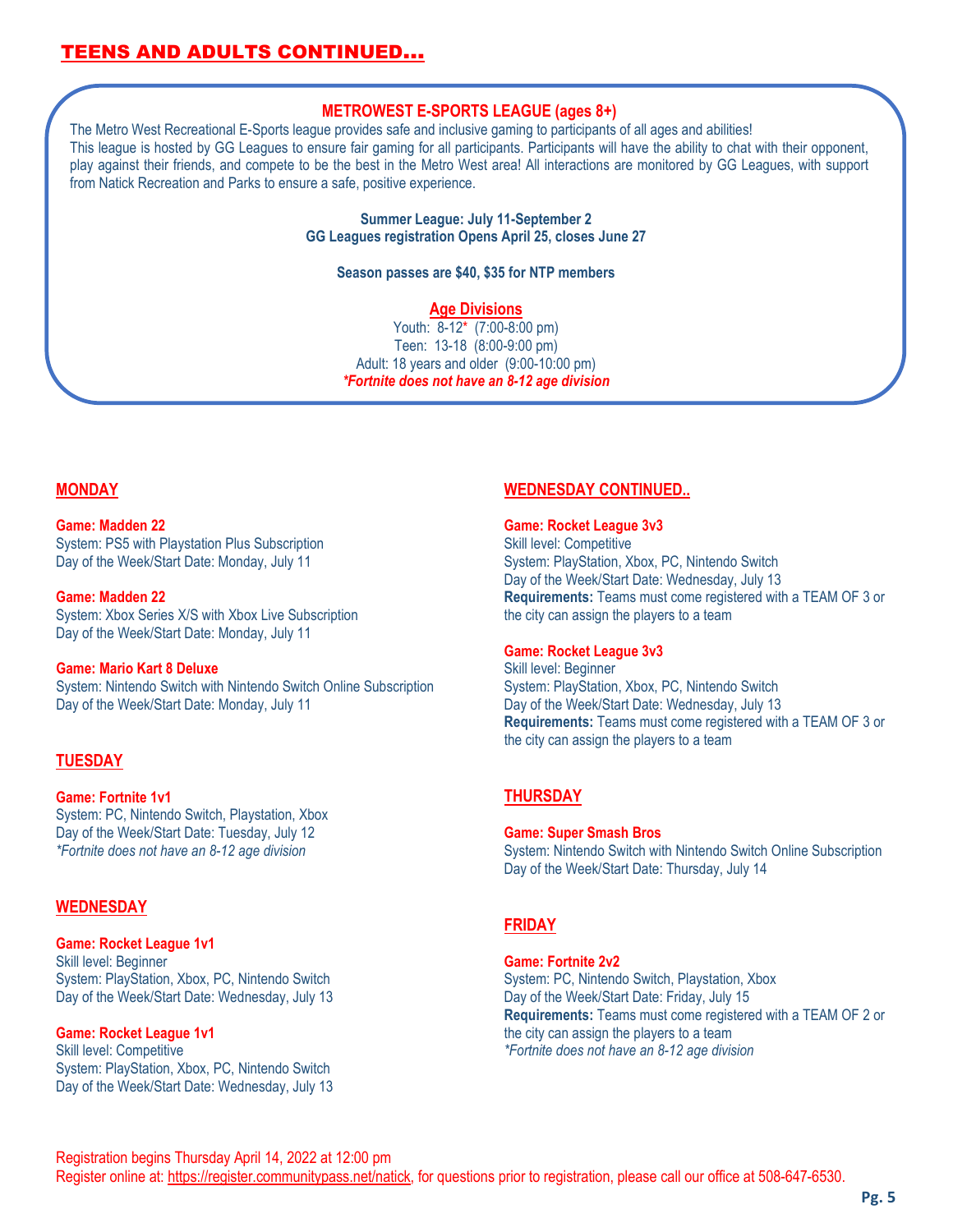## TEENS AND ADULTS CONTINUED…

#### **METROWEST E-SPORTS LEAGUE (ages 8+)**

The Metro West Recreational E-Sports league provides safe and inclusive gaming to participants of all ages and abilities! This league is hosted by GG Leagues to ensure fair gaming for all participants. Participants will have the ability to chat with their opponent, play against their friends, and compete to be the best in the Metro West area! All interactions are monitored by GG Leagues, with support from Natick Recreation and Parks to ensure a safe, positive experience.

> **Summer League: July 11-September 2 GG Leagues registration Opens April 25, closes June 27**

#### **Season passes are \$40, \$35 for NTP members**

#### **Age Divisions**

Youth: 8-12\* (7:00-8:00 pm) Teen: 13-18 (8:00-9:00 pm) Adult: 18 years and older (9:00-10:00 pm) *\*Fortnite does not have an 8-12 age division*

#### **MONDAY**

#### **Game: Madden 22**

System: PS5 with Playstation Plus Subscription Day of the Week/Start Date: Monday, July 11

#### **Game: Madden 22**

System: Xbox Series X/S with Xbox Live Subscription Day of the Week/Start Date: Monday, July 11

#### **Game: Mario Kart 8 Deluxe**

System: Nintendo Switch with Nintendo Switch Online Subscription Day of the Week/Start Date: Monday, July 11

#### **TUESDAY**

#### **Game: Fortnite 1v1**

System: PC, Nintendo Switch, Playstation, Xbox Day of the Week/Start Date: Tuesday, July 12 *\*Fortnite does not have an 8-12 age division*

#### **WEDNESDAY**

#### **Game: Rocket League 1v1**

Skill level: Beginner System: PlayStation, Xbox, PC, Nintendo Switch Day of the Week/Start Date: Wednesday, July 13

#### **Game: Rocket League 1v1**

Skill level: Competitive System: PlayStation, Xbox, PC, Nintendo Switch Day of the Week/Start Date: Wednesday, July 13

#### **WEDNESDAY CONTINUED..**

#### **Game: Rocket League 3v3**

Skill level: Competitive System: PlayStation, Xbox, PC, Nintendo Switch Day of the Week/Start Date: Wednesday, July 13 **Requirements:** Teams must come registered with a TEAM OF 3 or the city can assign the players to a team

#### **Game: Rocket League 3v3**

Skill level: Beginner System: PlayStation, Xbox, PC, Nintendo Switch Day of the Week/Start Date: Wednesday, July 13 **Requirements:** Teams must come registered with a TEAM OF 3 or the city can assign the players to a team

#### **THURSDAY**

**Game: Super Smash Bros** System: Nintendo Switch with Nintendo Switch Online Subscription Day of the Week/Start Date: Thursday, July 14

#### **FRIDAY**

#### **Game: Fortnite 2v2**

System: PC, Nintendo Switch, Playstation, Xbox Day of the Week/Start Date: Friday, July 15 **Requirements:** Teams must come registered with a TEAM OF 2 or the city can assign the players to a team *\*Fortnite does not have an 8-12 age division*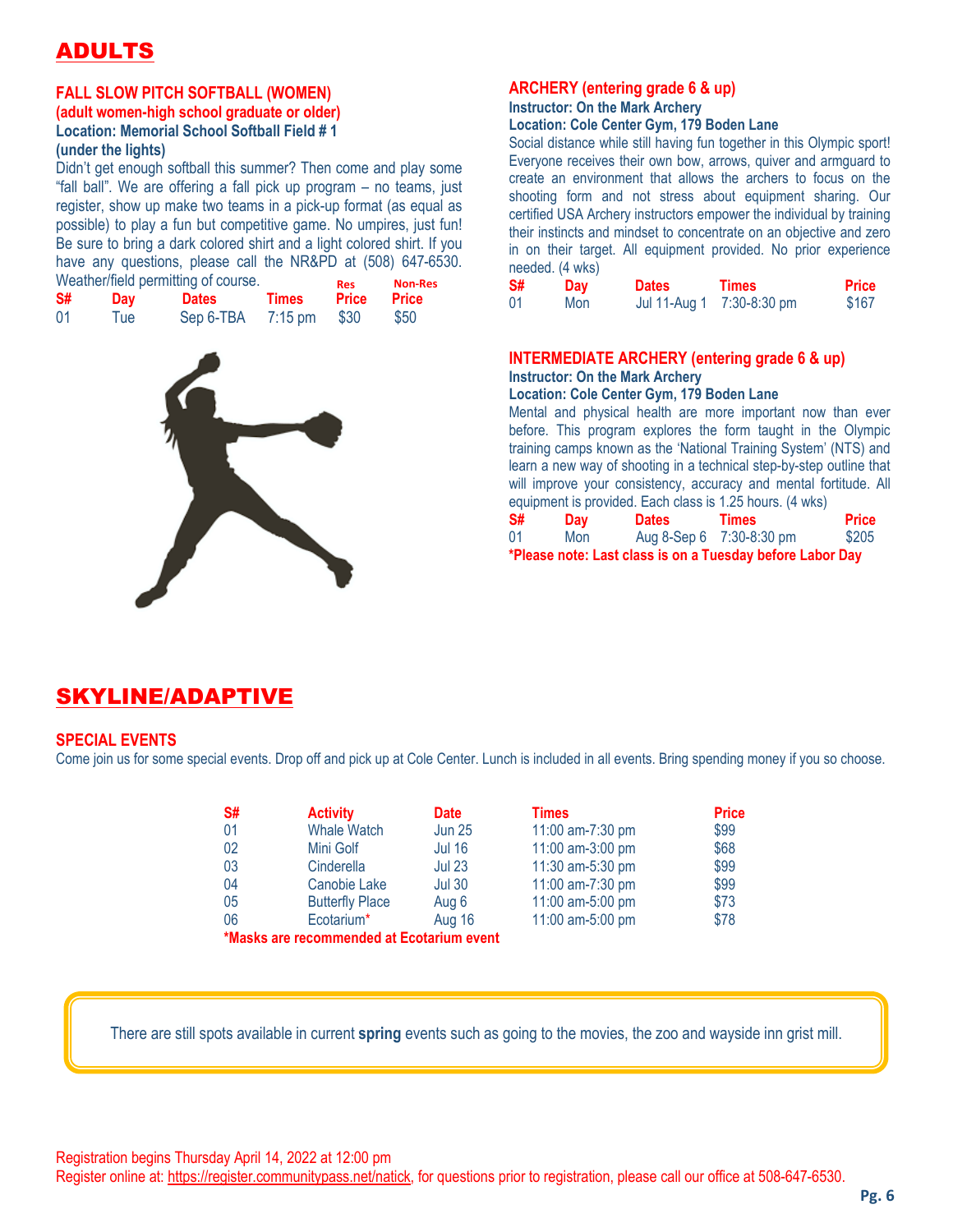# ADULT

#### **FALL SLOW PITCH SOFTBALL (WOMEN)**

#### **(adult women-high school graduate or older) Location: Memorial School Softball Field # 1 (under the lights)**

Didn't get enough softball this summer? Then come and play some "fall ball". We are offering a fall pick up program – no teams, just register, show up make two teams in a pick-up format (as equal as possible) to play a fun but competitive game. No umpires, just fun! Be sure to bring a dark colored shirt and a light colored shirt. If you have any questions, please call the NR&PD at (508) 647-6530. Weather/field permitting of course.

|    | <i>vveather/field permitting of course.</i> | <b>Res</b> | <b>Non-Res</b> |              |       |
|----|---------------------------------------------|------------|----------------|--------------|-------|
| S# | Day                                         | Dates      | <b>Times</b>   | <b>Price</b> | Price |
| 01 | Tue                                         | Sep 6-TBA  | $7:15$ pm      | \$30         | \$50  |



## **ARCHERY (entering grade 6 & up)**

## **Instructor: On the Mark Archery**

#### **Location: Cole Center Gym, 179 Boden Lane**

Social distance while still having fun together in this Olympic sport! Everyone receives their own bow, arrows, quiver and armguard to create an environment that allows the archers to focus on the shooting form and not stress about equipment sharing. Our certified USA Archery instructors empower the individual by training their instincts and mindset to concentrate on an objective and zero in on their target. All equipment provided. No prior experience needed. (4 wks)

| S# | Day | <b>Dates</b> | <b>Times</b>              | <b>Price</b> |
|----|-----|--------------|---------------------------|--------------|
| 01 | Mon |              | Jul 11-Aug 1 7:30-8:30 pm | \$167        |

## **INTERMEDIATE ARCHERY (entering grade 6 & up)**

### **Instructor: On the Mark Archery**

**Location: Cole Center Gym, 179 Boden Lane**

Mental and physical health are more important now than ever before. This program explores the form taught in the Olympic training camps known as the 'National Training System' (NTS) and learn a new way of shooting in a technical step-by-step outline that will improve your consistency, accuracy and mental fortitude. All equipment is provided. Each class is 1.25 hours. (4 wks)

| S# | Day | <b>Dates</b> | Times                                                     | <b>Price</b> |
|----|-----|--------------|-----------------------------------------------------------|--------------|
| 01 | Mon |              | Aug 8-Sep 6 7:30-8:30 pm                                  | \$205        |
|    |     |              | *Please note: Last class is on a Tuesday before Labor Day |              |

## SKYLINE/ADAPTIVE

#### **SPECIAL EVENTS**

Come join us for some special events. Drop off and pick up at Cole Center. Lunch is included in all events. Bring spending money if you so choose.

| S#                                        | <b>Activity</b>        | <b>Date</b>   | <b>Times</b>     | <b>Price</b> |  |
|-------------------------------------------|------------------------|---------------|------------------|--------------|--|
| 01                                        | <b>Whale Watch</b>     | <b>Jun 25</b> | 11:00 am-7:30 pm | \$99         |  |
| 02                                        | Mini Golf              | <b>Jul 16</b> | 11:00 am-3:00 pm | \$68         |  |
| 03                                        | Cinderella             | <b>Jul 23</b> | 11:30 am-5:30 pm | \$99         |  |
| 04                                        | Canobie Lake           | <b>Jul 30</b> | 11:00 am-7:30 pm | \$99         |  |
| 05                                        | <b>Butterfly Place</b> | Aug 6         | 11:00 am-5:00 pm | \$73         |  |
| 06                                        | Ecotarium*             | <b>Aug 16</b> | 11:00 am-5:00 pm | \$78         |  |
| *Masks are recommended at Ecotarium event |                        |               |                  |              |  |

There are still spots available in current **spring** events such as going to the movies, the zoo and wayside inn grist mill.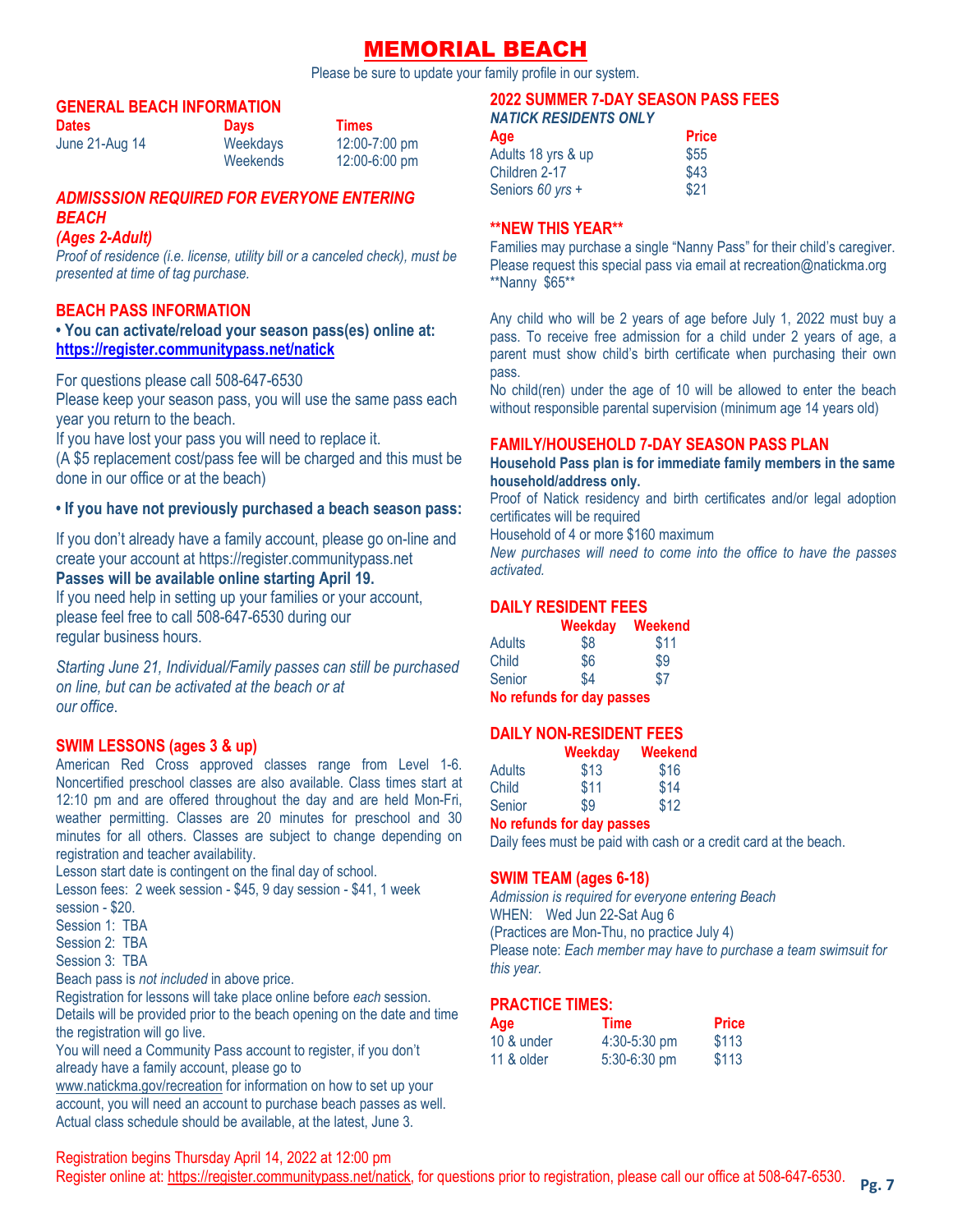## MEMORIAL BEACH

Please be sure to update your family profile in our system.

#### **GENERAL BEACH INFORMATION**

| Dates          | <b>Days</b> | <b>Times</b>      |
|----------------|-------------|-------------------|
| June 21-Aug 14 | Weekdays    | 12:00-7:00 pm     |
|                | Weekends    | $12:00 - 6:00$ pm |

## *ADMISSSION REQUIRED FOR EVERYONE ENTERING BEACH*

#### *(Ages 2-Adult)*

*Proof of residence (i.e. license, utility bill or a canceled check), must be presented at time of tag purchase.*

#### **BEACH PASS INFORMATION**

#### **• You can activate/reload your season pass(es) online at: <https://register.communitypass.net/natick>**

For questions please call 508-647-6530

Please keep your season pass, you will use the same pass each year you return to the beach.

If you have lost your pass you will need to replace it.

(A \$5 replacement cost/pass fee will be charged and this must be done in our office or at the beach)

#### **• If you have not previously purchased a beach season pass:**

If you don't already have a family account, please go on-line and create your account at https://register.communitypass.net

#### **Passes will be available online starting April 19.**

If you need help in setting up your families or your account, please feel free to call 508-647-6530 during our regular business hours.

*Starting June 21, Individual/Family passes can still be purchased on line, but can be activated at the beach or at our office*.

#### **SWIM LESSONS (ages 3 & up)**

American Red Cross approved classes range from Level 1-6. Noncertified preschool classes are also available. Class times start at 12:10 pm and are offered throughout the day and are held Mon-Fri, weather permitting. Classes are 20 minutes for preschool and 30 minutes for all others. Classes are subject to change depending on registration and teacher availability.

Lesson start date is contingent on the final day of school.

Lesson fees: 2 week session - \$45, 9 day session - \$41, 1 week session - \$20.

Session 1: TBA

Session 2: TBA

Session 3: TBA

Beach pass is *not included* in above price.

Registration for lessons will take place online before *each* session. Details will be provided prior to the beach opening on the date and time the registration will go live.

You will need a Community Pass account to register, if you don't already have a family account, please go to

[www.natickma.gov/recreation](http://www.natickma.gov/recreation) for information on how to set up your account, you will need an account to purchase beach passes as well. Actual class schedule should be available, at the latest, June 3.

#### **2022 SUMMER 7-DAY SEASON PASS FEES** *NATICK RESIDENTS ONLY*

| Age                | <b>Price</b> |
|--------------------|--------------|
| Adults 18 yrs & up | \$55         |
| Children 2-17      | \$43         |
| Seniors 60 yrs +   | \$21         |

#### **\*\*NEW THIS YEAR\*\***

Families may purchase a single "Nanny Pass" for their child's caregiver. Please request this special pass via email at recreation@natickma.org \*\*Nanny \$65\*\*

Any child who will be 2 years of age before July 1, 2022 must buy a pass. To receive free admission for a child under 2 years of age, a parent must show child's birth certificate when purchasing their own pass.

No child(ren) under the age of 10 will be allowed to enter the beach without responsible parental supervision (minimum age 14 years old)

#### **FAMILY/HOUSEHOLD 7-DAY SEASON PASS PLAN**

**Household Pass plan is for immediate family members in the same household/address only.**

Proof of Natick residency and birth certificates and/or legal adoption certificates will be required

Household of 4 or more \$160 maximum

*New purchases will need to come into the office to have the passes activated.*

#### **DAILY RESIDENT FEES**

|                           | Weekday | Weekend |  |
|---------------------------|---------|---------|--|
| Adults                    | \$8     | \$11    |  |
| Child                     | \$6     | \$9     |  |
| Senior                    | \$4     | \$7     |  |
| No refunds for day passes |         |         |  |

#### **DAILY NON-RESIDENT FEES**

|        | Weekday | Weekend |
|--------|---------|---------|
| Adults | \$13    | \$16    |
| Child  | \$11    | \$14    |
| Senior | \$9     | \$12    |

#### **No refunds for day passes**

Daily fees must be paid with cash or a credit card at the beach.

#### **SWIM TEAM (ages 6-18)**

*Admission is required for everyone entering Beach* WHEN: Wed Jun 22-Sat Aug 6 (Practices are Mon-Thu, no practice July 4) Please note: *Each member may have to purchase a team swimsuit for this year.*

#### **PRACTICE TIMES:**

| Age        | <b>Time</b>      | <b>Price</b> |
|------------|------------------|--------------|
| 10 & under | $4:30 - 5:30$ pm | \$113        |
| 11 & older | $5:30-6:30$ pm   | \$113        |

Registration begins Thursday April 14, 2022 at 12:00 pm

Register online at: [https://register.communitypass.net/natick,](https://register.communitypass.net/natick) for questions prior to registration, please call our office at 508-647-6530.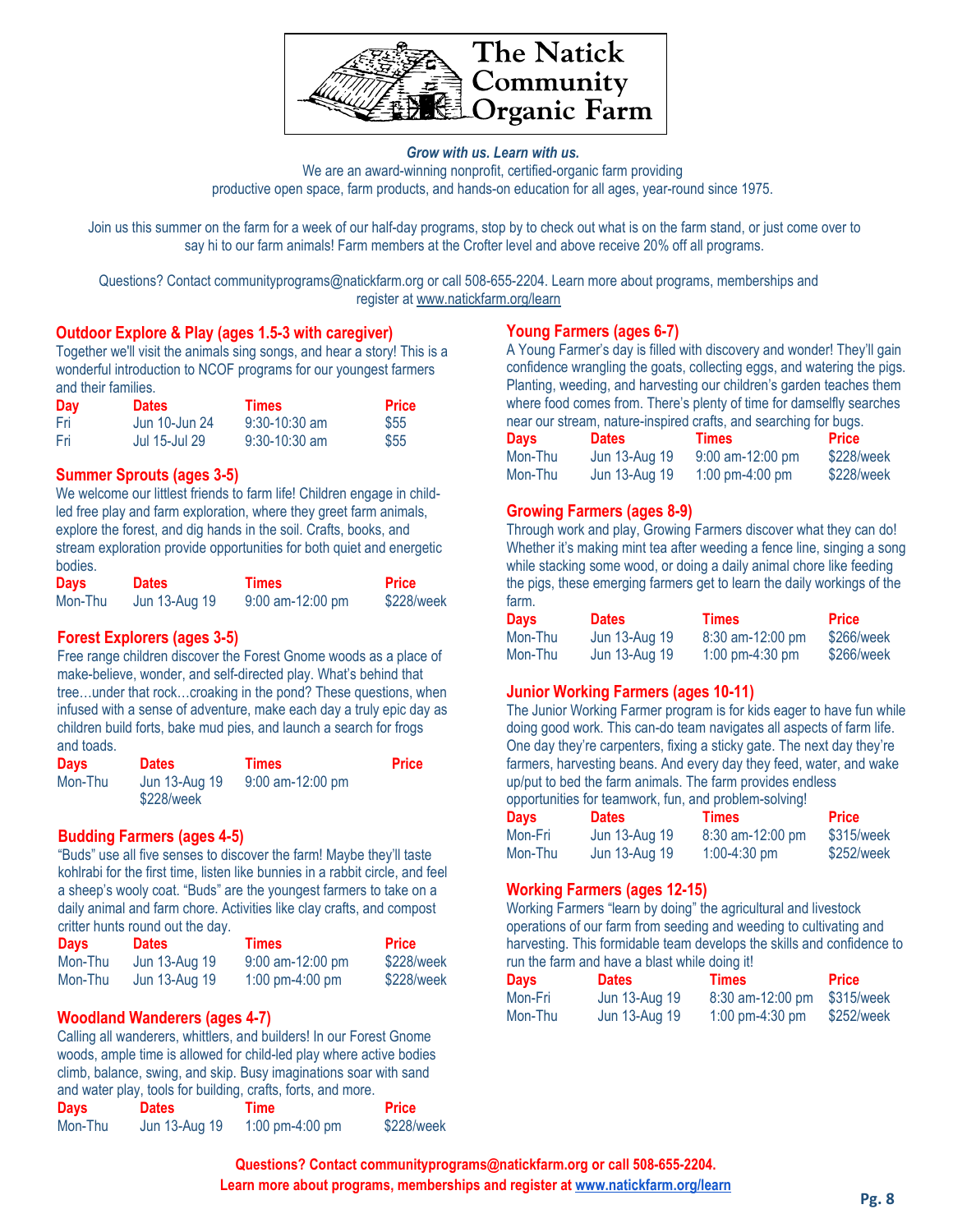

#### *Grow with us. Learn with us.* We are an award-winning nonprofit, certified-organic farm providing productive open space, farm products, and hands-on education for all ages, year-round since 1975.

Join us this summer on the farm for a week of our half-day programs, stop by to check out what is on the farm stand, or just come over to say hi to our farm animals! Farm members at the Crofter level and above receive 20% off all programs.

Questions? Contact communityprograms@natickfarm.org or call 508-655-2204. Learn more about programs, memberships and register at [www.natickfarm.org/learn](http://www.natickfarm.org/learn)

#### **Outdoor Explore & Play (ages 1.5-3 with caregiver)**

Together we'll visit the animals sing songs, and hear a story! This is a wonderful introduction to NCOF programs for our youngest farmers and their families.

| Day   | <b>Dates</b>  | <b>Times</b>    | <b>Price</b> |
|-------|---------------|-----------------|--------------|
| - Fri | Jun 10-Jun 24 | $9:30-10:30$ am | \$55         |
| - Fri | Jul 15-Jul 29 | $9:30-10:30$ am | \$55         |

#### **Summer Sprouts (ages 3-5)**

We welcome our littlest friends to farm life! Children engage in childled free play and farm exploration, where they greet farm animals, explore the forest, and dig hands in the soil. Crafts, books, and stream exploration provide opportunities for both quiet and energetic bodies.

| <b>Days</b> | <b>Dates</b>  | <b>Times</b>       | <b>Price</b> |
|-------------|---------------|--------------------|--------------|
| Mon-Thu     | Jun 13-Aug 19 | $9:00$ am-12:00 pm | \$228/week   |

#### **Forest Explorers (ages 3-5)**

Free range children discover the Forest Gnome woods as a place of make-believe, wonder, and self-directed play. What's behind that tree…under that rock…croaking in the pond? These questions, when infused with a sense of adventure, make each day a truly epic day as children build forts, bake mud pies, and launch a search for frogs and toads.

| <b>Days</b> | <b>Dates</b>                | <b>Times</b>       | <b>Price</b> |
|-------------|-----------------------------|--------------------|--------------|
| Mon-Thu     | Jun 13-Aug 19<br>\$228/week | $9:00$ am-12:00 pm |              |

#### **Budding Farmers (ages 4-5)**

"Buds" use all five senses to discover the farm! Maybe they'll taste kohlrabi for the first time, listen like bunnies in a rabbit circle, and feel a sheep's wooly coat. "Buds" are the youngest farmers to take on a daily animal and farm chore. Activities like clay crafts, and compost critter hunts round out the day.

| Days    | <b>Dates</b>  | Times              | <b>Price</b> |
|---------|---------------|--------------------|--------------|
| Mon-Thu | Jun 13-Aug 19 | $9:00$ am-12:00 pm | \$228/week   |
| Mon-Thu | Jun 13-Aug 19 | 1:00 pm-4:00 pm    | \$228/week   |

#### **Woodland Wanderers (ages 4-7)**

Calling all wanderers, whittlers, and builders! In our Forest Gnome woods, ample time is allowed for child-led play where active bodies climb, balance, swing, and skip. Busy imaginations soar with sand and water play, tools for building, crafts, forts, and more.

| <b>Days</b> | <b>Dates</b>  | Time            | <b>Price</b> |
|-------------|---------------|-----------------|--------------|
| Mon-Thu     | Jun 13-Aug 19 | 1:00 pm-4:00 pm | \$228/week   |

#### **Young Farmers (ages 6-7)**

A Young Farmer's day is filled with discovery and wonder! They'll gain confidence wrangling the goats, collecting eggs, and watering the pigs. Planting, weeding, and harvesting our children's garden teaches them where food comes from. There's plenty of time for damselfly searches near our stream, nature-inspired crafts, and searching for bugs.

| <b>Days</b> | <b>Dates</b>  | <b>Times</b>       | <b>Price</b> |
|-------------|---------------|--------------------|--------------|
| Mon-Thu     | Jun 13-Aug 19 | $9:00$ am-12:00 pm | \$228/week   |
| Mon-Thu     | Jun 13-Aug 19 | 1:00 pm-4:00 pm    | \$228/week   |

#### **Growing Farmers (ages 8-9)**

Through work and play, Growing Farmers discover what they can do! Whether it's making mint tea after weeding a fence line, singing a song while stacking some wood, or doing a daily animal chore like feeding the pigs, these emerging farmers get to learn the daily workings of the farm.

| <b>Days</b> | <b>Dates</b>  | Times                             | Price      |
|-------------|---------------|-----------------------------------|------------|
| Mon-Thu     | Jun 13-Aug 19 | 8:30 am-12:00 pm                  | \$266/week |
| Mon-Thu     | Jun 13-Aug 19 | $1:00 \text{ pm}-4:30 \text{ pm}$ | \$266/week |

#### **Junior Working Farmers (ages 10-11)**

The Junior Working Farmer program is for kids eager to have fun while doing good work. This can-do team navigates all aspects of farm life. One day they're carpenters, fixing a sticky gate. The next day they're farmers, harvesting beans. And every day they feed, water, and wake up/put to bed the farm animals. The farm provides endless opportunities for teamwork, fun, and problem-solving!

| opportunnes for teamwork, full, and propient-solving: |               |                  |            |  |  |
|-------------------------------------------------------|---------------|------------------|------------|--|--|
| Davs                                                  | <b>Dates</b>  | Times            | Price      |  |  |
| Mon-Fri                                               | Jun 13-Aug 19 | 8:30 am-12:00 pm | \$315/week |  |  |
| Mon-Thu                                               | Jun 13-Aug 19 | $1:00-4:30$ pm   | \$252/week |  |  |

#### **Working Farmers (ages 12-15)**

Working Farmers "learn by doing" the agricultural and livestock operations of our farm from seeding and weeding to cultivating and harvesting. This formidable team develops the skills and confidence to run the farm and have a blast while doing it!

| $1.011$ and notice that there is a product from a distribution of $1.01$ |               |                    |              |  |  |
|--------------------------------------------------------------------------|---------------|--------------------|--------------|--|--|
| <b>Days</b>                                                              | <b>Dates</b>  | Times              | <b>Price</b> |  |  |
| Mon-Fri                                                                  | Jun 13-Aug 19 | $8:30$ am-12:00 pm | \$315/week   |  |  |
| Mon-Thu                                                                  | Jun 13-Aug 19 | 1:00 pm-4:30 pm    | \$252/week   |  |  |

**Questions? Contact communityprograms@natickfarm.org or call 508-655-2204.** Learn more about programs, memberships and register at [www.natickfarm.org/learn](http://www.natickfarm.org/learn)